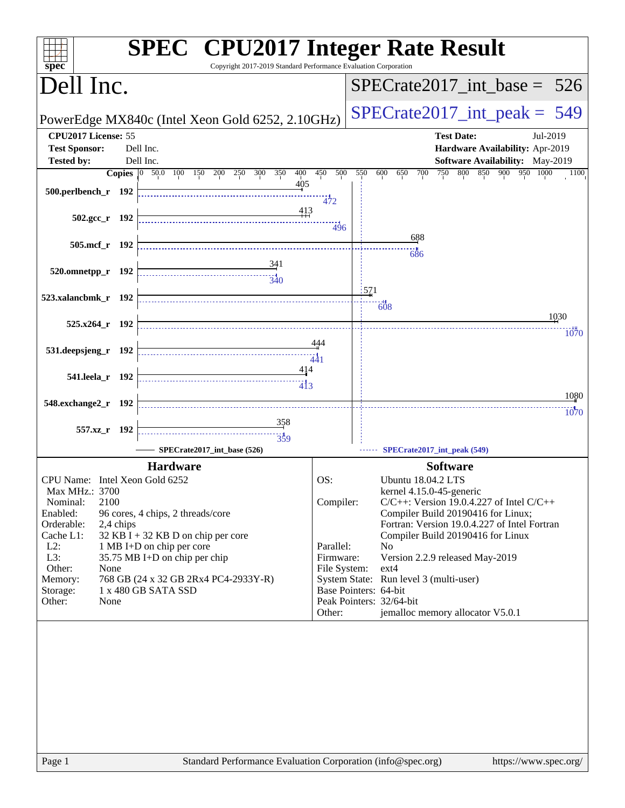| spec <sup>®</sup>                                                                                                                                                                                    | <b>SPEC<sup>®</sup></b> CPU2017 Integer Rate Result<br>Copyright 2017-2019 Standard Performance Evaluation Corporation                                                                                 |                                                                      |                                                                                                                                                                                                                                                                                                                                                                                                                                       |
|------------------------------------------------------------------------------------------------------------------------------------------------------------------------------------------------------|--------------------------------------------------------------------------------------------------------------------------------------------------------------------------------------------------------|----------------------------------------------------------------------|---------------------------------------------------------------------------------------------------------------------------------------------------------------------------------------------------------------------------------------------------------------------------------------------------------------------------------------------------------------------------------------------------------------------------------------|
| Dell Inc.                                                                                                                                                                                            |                                                                                                                                                                                                        |                                                                      | $SPECrate2017\_int\_base = 526$                                                                                                                                                                                                                                                                                                                                                                                                       |
|                                                                                                                                                                                                      | PowerEdge MX840c (Intel Xeon Gold 6252, 2.10GHz)                                                                                                                                                       |                                                                      | $SPECrate2017\_int\_peak = 549$                                                                                                                                                                                                                                                                                                                                                                                                       |
| CPU2017 License: 55<br><b>Test Sponsor:</b>                                                                                                                                                          | Dell Inc.                                                                                                                                                                                              |                                                                      | <b>Test Date:</b><br>Jul-2019<br>Hardware Availability: Apr-2019                                                                                                                                                                                                                                                                                                                                                                      |
| <b>Tested by:</b>                                                                                                                                                                                    | Dell Inc.                                                                                                                                                                                              |                                                                      | <b>Software Availability:</b> May-2019                                                                                                                                                                                                                                                                                                                                                                                                |
|                                                                                                                                                                                                      | <b>Copies</b> 0 50.0 100 150 200 250<br>300<br>350<br>400                                                                                                                                              | 450<br>500                                                           | 550<br>750<br>800 850 900 950 1000<br>600<br>650<br>700<br>1100                                                                                                                                                                                                                                                                                                                                                                       |
| 500.perlbench_r 192                                                                                                                                                                                  | 405                                                                                                                                                                                                    | 472                                                                  |                                                                                                                                                                                                                                                                                                                                                                                                                                       |
| $502.\text{gcc r}$ 192                                                                                                                                                                               | 413                                                                                                                                                                                                    | 496                                                                  |                                                                                                                                                                                                                                                                                                                                                                                                                                       |
| 505.mcf_r 192                                                                                                                                                                                        |                                                                                                                                                                                                        |                                                                      | 688<br>686                                                                                                                                                                                                                                                                                                                                                                                                                            |
| 520.omnetpp_r 192                                                                                                                                                                                    | 341<br>$\frac{1}{340}$                                                                                                                                                                                 |                                                                      |                                                                                                                                                                                                                                                                                                                                                                                                                                       |
| 523.xalancbmk_r 192                                                                                                                                                                                  |                                                                                                                                                                                                        |                                                                      | 1571<br>$-608$                                                                                                                                                                                                                                                                                                                                                                                                                        |
| 525.x264_r 192                                                                                                                                                                                       |                                                                                                                                                                                                        |                                                                      | 1030                                                                                                                                                                                                                                                                                                                                                                                                                                  |
| 531.deepsjeng_r 192                                                                                                                                                                                  |                                                                                                                                                                                                        | 444                                                                  | 1070                                                                                                                                                                                                                                                                                                                                                                                                                                  |
|                                                                                                                                                                                                      |                                                                                                                                                                                                        | 441                                                                  |                                                                                                                                                                                                                                                                                                                                                                                                                                       |
| 541.leela_r 192                                                                                                                                                                                      | 414                                                                                                                                                                                                    |                                                                      |                                                                                                                                                                                                                                                                                                                                                                                                                                       |
| 548.exchange2_r 192                                                                                                                                                                                  |                                                                                                                                                                                                        |                                                                      | 1080<br>1070                                                                                                                                                                                                                                                                                                                                                                                                                          |
| 557.xz_r 192                                                                                                                                                                                         | 358<br>$\frac{11}{359}$                                                                                                                                                                                |                                                                      |                                                                                                                                                                                                                                                                                                                                                                                                                                       |
|                                                                                                                                                                                                      | SPECrate2017_int_base (526)                                                                                                                                                                            |                                                                      | SPECrate2017_int_peak (549)                                                                                                                                                                                                                                                                                                                                                                                                           |
|                                                                                                                                                                                                      | <b>Hardware</b>                                                                                                                                                                                        |                                                                      | <b>Software</b>                                                                                                                                                                                                                                                                                                                                                                                                                       |
| CPU Name: Intel Xeon Gold 6252<br>Max MHz.: 3700<br>2100<br>Nominal:<br>Enabled:<br>Orderable:<br>2,4 chips<br>Cache L1:<br>$L2$ :<br>L3:<br>Other:<br>None<br>Memory:<br>Storage:<br>Other:<br>None | 96 cores, 4 chips, 2 threads/core<br>$32$ KB I + 32 KB D on chip per core<br>1 MB I+D on chip per core<br>35.75 MB I+D on chip per chip<br>768 GB (24 x 32 GB 2Rx4 PC4-2933Y-R)<br>1 x 480 GB SATA SSD | OS:<br>Compiler:<br>Parallel:<br>Firmware:<br>File System:<br>Other: | <b>Ubuntu 18.04.2 LTS</b><br>kernel 4.15.0-45-generic<br>$C/C++$ : Version 19.0.4.227 of Intel $C/C++$<br>Compiler Build 20190416 for Linux;<br>Fortran: Version 19.0.4.227 of Intel Fortran<br>Compiler Build 20190416 for Linux<br>N <sub>0</sub><br>Version 2.2.9 released May-2019<br>$ext{4}$<br>System State: Run level 3 (multi-user)<br>Base Pointers: 64-bit<br>Peak Pointers: 32/64-bit<br>jemalloc memory allocator V5.0.1 |
| Page 1                                                                                                                                                                                               | Standard Performance Evaluation Corporation (info@spec.org)                                                                                                                                            |                                                                      | https://www.spec.org/                                                                                                                                                                                                                                                                                                                                                                                                                 |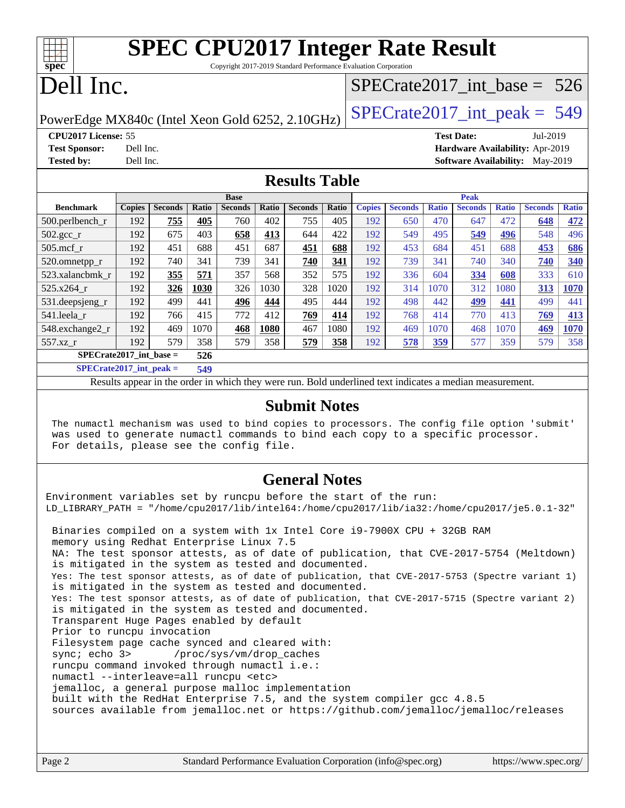| $Spec^*$                   | <b>SPEC CPU2017 Integer Rate Result</b><br>Copyright 2017-2019 Standard Performance Evaluation Corporation |                                        |
|----------------------------|------------------------------------------------------------------------------------------------------------|----------------------------------------|
| Dell Inc.                  |                                                                                                            | $SPECTate2017$ _int_base = 526         |
|                            | PowerEdge MX840c (Intel Xeon Gold 6252, 2.10GHz)                                                           | $SPECTate2017\_int\_peak = 549$        |
| <b>CPU2017 License: 55</b> |                                                                                                            | <b>Test Date:</b><br>$Jul-2019$        |
| <b>Test Sponsor:</b>       | Dell Inc.                                                                                                  | Hardware Availability: Apr-2019        |
| <b>Tested by:</b>          | Dell Inc.                                                                                                  | <b>Software Availability:</b> May-2019 |
|                            | <b>Results Table</b>                                                                                       |                                        |
|                            | <b>Base</b>                                                                                                | Peak                                   |

**[Copies](http://www.spec.org/auto/cpu2017/Docs/result-fields.html#Copies) [Seconds](http://www.spec.org/auto/cpu2017/Docs/result-fields.html#Seconds) [Ratio](http://www.spec.org/auto/cpu2017/Docs/result-fields.html#Ratio) [Seconds](http://www.spec.org/auto/cpu2017/Docs/result-fields.html#Seconds) [Ratio](http://www.spec.org/auto/cpu2017/Docs/result-fields.html#Ratio) [Seconds](http://www.spec.org/auto/cpu2017/Docs/result-fields.html#Seconds) [Ratio](http://www.spec.org/auto/cpu2017/Docs/result-fields.html#Ratio)**

| 520.omnetpp_r             | 192 | 740 | 341  | 739 | 341  | 740 | 341        | 192 | 739 | 341        | 740        | 340        | 740        | <u>340</u> |
|---------------------------|-----|-----|------|-----|------|-----|------------|-----|-----|------------|------------|------------|------------|------------|
| 523.xalancbmk r           | 192 | 355 | 571  | 357 | 568  | 352 | 575        | 192 | 336 | 604        | 334        | 608        | 333        | 610        |
| 525.x264 r                | 192 | 326 | 1030 | 326 | 1030 | 328 | 1020       | 192 | 314 | 1070       | 312        | 1080       | 313        | 1070       |
| 531.deepsjeng_r           | 192 | 499 | 441  | 496 | 444  | 495 | 444        | 192 | 498 | 442        | <u>499</u> | <u>441</u> | 499        | 441        |
| 541.leela r               | 192 | 766 | 415  | 772 | 412  | 769 | <u>414</u> | 192 | 768 | 414        | 770        | 413        | <u>769</u> | 413        |
| 548.exchange2_r           | 192 | 469 | 1070 | 468 | 1080 | 467 | 1080       | 192 | 469 | 1070       | 468        | 1070       | 469        | 1070       |
| 557.xz r                  | 192 | 579 | 358  | 579 | 358  | 579 | 358        | 192 | 578 | <u>359</u> | 577        | 359        | 579        | 358        |
| $SPECrate2017$ int base = |     |     | 526  |     |      |     |            |     |     |            |            |            |            |            |
| $SPECrate2017$ int peak = |     |     | 549  |     |      |     |            |     |     |            |            |            |            |            |

[500.perlbench\\_r](http://www.spec.org/auto/cpu2017/Docs/benchmarks/500.perlbench_r.html) 192 **[755](http://www.spec.org/auto/cpu2017/Docs/result-fields.html#Median) [405](http://www.spec.org/auto/cpu2017/Docs/result-fields.html#Median)** 760 402 755 405 192 650 470 647 472 **[648](http://www.spec.org/auto/cpu2017/Docs/result-fields.html#Median) [472](http://www.spec.org/auto/cpu2017/Docs/result-fields.html#Median)** [502.gcc\\_r](http://www.spec.org/auto/cpu2017/Docs/benchmarks/502.gcc_r.html) 192 675 403 **[658](http://www.spec.org/auto/cpu2017/Docs/result-fields.html#Median) [413](http://www.spec.org/auto/cpu2017/Docs/result-fields.html#Median)** 644 422 192 549 495 **[549](http://www.spec.org/auto/cpu2017/Docs/result-fields.html#Median) [496](http://www.spec.org/auto/cpu2017/Docs/result-fields.html#Median)** 548 496 [505.mcf\\_r](http://www.spec.org/auto/cpu2017/Docs/benchmarks/505.mcf_r.html) 192 451 688 451 687 **[451](http://www.spec.org/auto/cpu2017/Docs/result-fields.html#Median) [688](http://www.spec.org/auto/cpu2017/Docs/result-fields.html#Median)** 192 453 684 451 688 **[453](http://www.spec.org/auto/cpu2017/Docs/result-fields.html#Median) [686](http://www.spec.org/auto/cpu2017/Docs/result-fields.html#Median)**

Results appear in the [order in which they were run](http://www.spec.org/auto/cpu2017/Docs/result-fields.html#RunOrder). Bold underlined text [indicates a median measurement](http://www.spec.org/auto/cpu2017/Docs/result-fields.html#Median).

### **[Submit Notes](http://www.spec.org/auto/cpu2017/Docs/result-fields.html#SubmitNotes)**

 The numactl mechanism was used to bind copies to processors. The config file option 'submit' was used to generate numactl commands to bind each copy to a specific processor. For details, please see the config file.

### **[General Notes](http://www.spec.org/auto/cpu2017/Docs/result-fields.html#GeneralNotes)**

Environment variables set by runcpu before the start of the run: LD\_LIBRARY\_PATH = "/home/cpu2017/lib/intel64:/home/cpu2017/lib/ia32:/home/cpu2017/je5.0.1-32" Binaries compiled on a system with 1x Intel Core i9-7900X CPU + 32GB RAM memory using Redhat Enterprise Linux 7.5 NA: The test sponsor attests, as of date of publication, that CVE-2017-5754 (Meltdown) is mitigated in the system as tested and documented. Yes: The test sponsor attests, as of date of publication, that CVE-2017-5753 (Spectre variant 1) is mitigated in the system as tested and documented.

 Yes: The test sponsor attests, as of date of publication, that CVE-2017-5715 (Spectre variant 2) is mitigated in the system as tested and documented.

Transparent Huge Pages enabled by default

Prior to runcpu invocation

Filesystem page cache synced and cleared with:

**[Benchmark](http://www.spec.org/auto/cpu2017/Docs/result-fields.html#Benchmark) [Copies](http://www.spec.org/auto/cpu2017/Docs/result-fields.html#Copies) [Seconds](http://www.spec.org/auto/cpu2017/Docs/result-fields.html#Seconds) [Ratio](http://www.spec.org/auto/cpu2017/Docs/result-fields.html#Ratio) [Seconds](http://www.spec.org/auto/cpu2017/Docs/result-fields.html#Seconds) [Ratio](http://www.spec.org/auto/cpu2017/Docs/result-fields.html#Ratio) [Seconds](http://www.spec.org/auto/cpu2017/Docs/result-fields.html#Seconds) [Ratio](http://www.spec.org/auto/cpu2017/Docs/result-fields.html#Ratio)**

sync; echo 3> /proc/sys/vm/drop\_caches runcpu command invoked through numactl i.e.:

numactl --interleave=all runcpu <etc>

jemalloc, a general purpose malloc implementation

built with the RedHat Enterprise 7.5, and the system compiler gcc 4.8.5

sources available from jemalloc.net or <https://github.com/jemalloc/jemalloc/releases>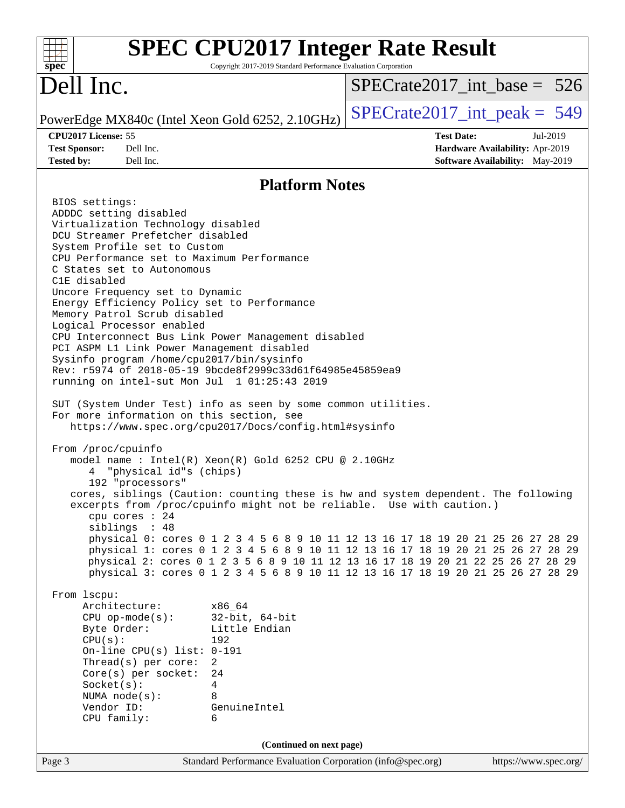| $SPECrate2017\_int\_base = 526$<br>$SPECrate2017\_int\_peak = 549$<br>PowerEdge MX840c (Intel Xeon Gold 6252, 2.10GHz)<br>CPU2017 License: 55<br><b>Test Date:</b><br>Jul-2019<br>Dell Inc.<br><b>Test Sponsor:</b><br>Hardware Availability: Apr-2019<br>Dell Inc.<br>Software Availability: May-2019<br><b>Tested by:</b><br><b>Platform Notes</b><br>BIOS settings:<br>ADDDC setting disabled<br>Virtualization Technology disabled<br>DCU Streamer Prefetcher disabled<br>System Profile set to Custom<br>CPU Performance set to Maximum Performance<br>C States set to Autonomous<br>C1E disabled<br>Uncore Frequency set to Dynamic<br>Energy Efficiency Policy set to Performance<br>Memory Patrol Scrub disabled<br>Logical Processor enabled<br>CPU Interconnect Bus Link Power Management disabled<br>PCI ASPM L1 Link Power Management disabled<br>Sysinfo program /home/cpu2017/bin/sysinfo<br>Rev: r5974 of 2018-05-19 9bcde8f2999c33d61f64985e45859ea9<br>running on intel-sut Mon Jul 1 01:25:43 2019<br>SUT (System Under Test) info as seen by some common utilities.<br>For more information on this section, see<br>https://www.spec.org/cpu2017/Docs/config.html#sysinfo<br>From /proc/cpuinfo<br>model name : Intel(R) Xeon(R) Gold 6252 CPU @ 2.10GHz<br>"physical id"s (chips)<br>4<br>192 "processors"<br>cores, siblings (Caution: counting these is hw and system dependent. The following<br>excerpts from /proc/cpuinfo might not be reliable. Use with caution.)<br>cpu cores : 24<br>siblings : 48<br>physical 0: cores 0 1 2 3 4 5 6 8 9 10 11 12 13 16 17 18 19 20 21 25 26 27 28 29<br>physical 1: cores 0 1 2 3 4 5 6 8 9 10 11 12 13 16 17 18 19 20 21 25 26 27 28 29<br>physical 2: cores 0 1 2 3 5 6 8 9 10 11 12 13 16 17 18 19 20 21 22 25 26 27 28 29<br>physical 3: cores 0 1 2 3 4 5 6 8 9 10 11 12 13 16 17 18 19 20 21 25 26 27 28 29<br>From 1scpu:<br>Architecture:<br>x86_64<br>$32$ -bit, $64$ -bit<br>$CPU$ op-mode( $s$ ):<br>Little Endian<br>Byte Order:<br>CPU(s):<br>192<br>On-line CPU(s) list: $0-191$<br>Thread(s) per core:<br>$\overline{2}$<br>Core(s) per socket:<br>24<br>Socket(s):<br>4<br>NUMA $node(s):$<br>8<br>Vendor ID:<br>GenuineIntel<br>CPU family:<br>6<br>(Continued on next page)<br>Page 3<br>Standard Performance Evaluation Corporation (info@spec.org)<br>https://www.spec.org/ | <b>SPEC CPU2017 Integer Rate Result</b><br>$spec^*$ | Copyright 2017-2019 Standard Performance Evaluation Corporation |  |
|-----------------------------------------------------------------------------------------------------------------------------------------------------------------------------------------------------------------------------------------------------------------------------------------------------------------------------------------------------------------------------------------------------------------------------------------------------------------------------------------------------------------------------------------------------------------------------------------------------------------------------------------------------------------------------------------------------------------------------------------------------------------------------------------------------------------------------------------------------------------------------------------------------------------------------------------------------------------------------------------------------------------------------------------------------------------------------------------------------------------------------------------------------------------------------------------------------------------------------------------------------------------------------------------------------------------------------------------------------------------------------------------------------------------------------------------------------------------------------------------------------------------------------------------------------------------------------------------------------------------------------------------------------------------------------------------------------------------------------------------------------------------------------------------------------------------------------------------------------------------------------------------------------------------------------------------------------------------------------------------------------------------------------------------------------------------------------------------------------------------------------------------------------------------------------------------------------------------------------------------------------------------------------------------------------------------------------------------------------------------|-----------------------------------------------------|-----------------------------------------------------------------|--|
|                                                                                                                                                                                                                                                                                                                                                                                                                                                                                                                                                                                                                                                                                                                                                                                                                                                                                                                                                                                                                                                                                                                                                                                                                                                                                                                                                                                                                                                                                                                                                                                                                                                                                                                                                                                                                                                                                                                                                                                                                                                                                                                                                                                                                                                                                                                                                                 | Dell Inc.                                           |                                                                 |  |
|                                                                                                                                                                                                                                                                                                                                                                                                                                                                                                                                                                                                                                                                                                                                                                                                                                                                                                                                                                                                                                                                                                                                                                                                                                                                                                                                                                                                                                                                                                                                                                                                                                                                                                                                                                                                                                                                                                                                                                                                                                                                                                                                                                                                                                                                                                                                                                 |                                                     |                                                                 |  |
|                                                                                                                                                                                                                                                                                                                                                                                                                                                                                                                                                                                                                                                                                                                                                                                                                                                                                                                                                                                                                                                                                                                                                                                                                                                                                                                                                                                                                                                                                                                                                                                                                                                                                                                                                                                                                                                                                                                                                                                                                                                                                                                                                                                                                                                                                                                                                                 |                                                     |                                                                 |  |
|                                                                                                                                                                                                                                                                                                                                                                                                                                                                                                                                                                                                                                                                                                                                                                                                                                                                                                                                                                                                                                                                                                                                                                                                                                                                                                                                                                                                                                                                                                                                                                                                                                                                                                                                                                                                                                                                                                                                                                                                                                                                                                                                                                                                                                                                                                                                                                 |                                                     |                                                                 |  |
|                                                                                                                                                                                                                                                                                                                                                                                                                                                                                                                                                                                                                                                                                                                                                                                                                                                                                                                                                                                                                                                                                                                                                                                                                                                                                                                                                                                                                                                                                                                                                                                                                                                                                                                                                                                                                                                                                                                                                                                                                                                                                                                                                                                                                                                                                                                                                                 |                                                     |                                                                 |  |
|                                                                                                                                                                                                                                                                                                                                                                                                                                                                                                                                                                                                                                                                                                                                                                                                                                                                                                                                                                                                                                                                                                                                                                                                                                                                                                                                                                                                                                                                                                                                                                                                                                                                                                                                                                                                                                                                                                                                                                                                                                                                                                                                                                                                                                                                                                                                                                 |                                                     |                                                                 |  |
|                                                                                                                                                                                                                                                                                                                                                                                                                                                                                                                                                                                                                                                                                                                                                                                                                                                                                                                                                                                                                                                                                                                                                                                                                                                                                                                                                                                                                                                                                                                                                                                                                                                                                                                                                                                                                                                                                                                                                                                                                                                                                                                                                                                                                                                                                                                                                                 |                                                     |                                                                 |  |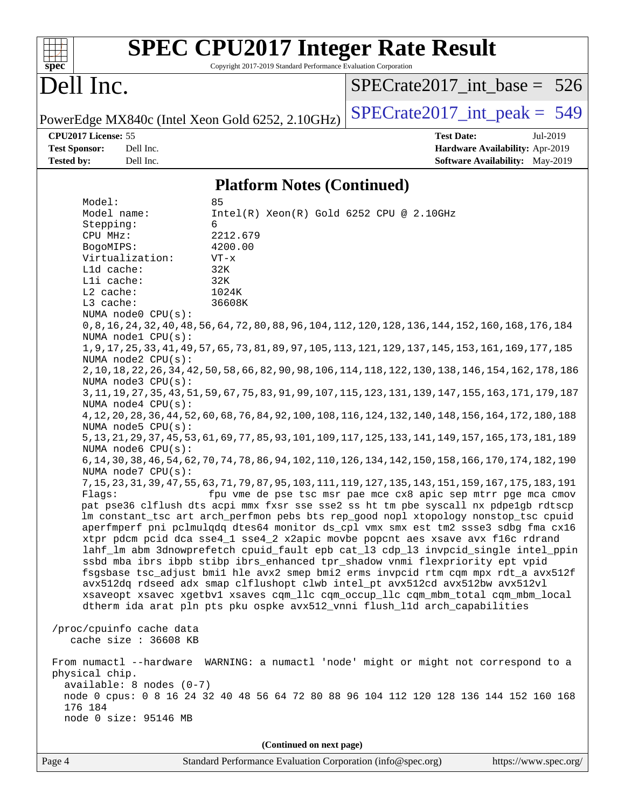| $\mathbf{Spec}^*$                                                                                                                                        |                                                                                                                                                                                                                                                                                                             | Copyright 2017-2019 Standard Performance Evaluation Corporation                                                                                     | <b>SPEC CPU2017 Integer Rate Result</b>                                                                                                                                                                                                                                                                                                                                                                                                                                                                                                                                                                                                                                                                                                                                                                                                                                                                                                                                                                                                                                                                                                                                                                                                                                                                                                                                                                                                                                                                                                                                                                                                                                                                                                                                                                                                                                                                                                                                                     |
|----------------------------------------------------------------------------------------------------------------------------------------------------------|-------------------------------------------------------------------------------------------------------------------------------------------------------------------------------------------------------------------------------------------------------------------------------------------------------------|-----------------------------------------------------------------------------------------------------------------------------------------------------|---------------------------------------------------------------------------------------------------------------------------------------------------------------------------------------------------------------------------------------------------------------------------------------------------------------------------------------------------------------------------------------------------------------------------------------------------------------------------------------------------------------------------------------------------------------------------------------------------------------------------------------------------------------------------------------------------------------------------------------------------------------------------------------------------------------------------------------------------------------------------------------------------------------------------------------------------------------------------------------------------------------------------------------------------------------------------------------------------------------------------------------------------------------------------------------------------------------------------------------------------------------------------------------------------------------------------------------------------------------------------------------------------------------------------------------------------------------------------------------------------------------------------------------------------------------------------------------------------------------------------------------------------------------------------------------------------------------------------------------------------------------------------------------------------------------------------------------------------------------------------------------------------------------------------------------------------------------------------------------------|
| Dell Inc.                                                                                                                                                |                                                                                                                                                                                                                                                                                                             |                                                                                                                                                     | $SPECrate2017$ int base = 526                                                                                                                                                                                                                                                                                                                                                                                                                                                                                                                                                                                                                                                                                                                                                                                                                                                                                                                                                                                                                                                                                                                                                                                                                                                                                                                                                                                                                                                                                                                                                                                                                                                                                                                                                                                                                                                                                                                                                               |
|                                                                                                                                                          |                                                                                                                                                                                                                                                                                                             | PowerEdge MX840c (Intel Xeon Gold 6252, 2.10GHz)                                                                                                    | $SPECrate2017\_int\_peak = 549$                                                                                                                                                                                                                                                                                                                                                                                                                                                                                                                                                                                                                                                                                                                                                                                                                                                                                                                                                                                                                                                                                                                                                                                                                                                                                                                                                                                                                                                                                                                                                                                                                                                                                                                                                                                                                                                                                                                                                             |
| CPU2017 License: 55<br><b>Test Sponsor:</b><br><b>Tested by:</b>                                                                                         | Dell Inc.<br>Dell Inc.                                                                                                                                                                                                                                                                                      |                                                                                                                                                     | <b>Test Date:</b><br>Jul-2019<br>Hardware Availability: Apr-2019<br><b>Software Availability:</b> May-2019                                                                                                                                                                                                                                                                                                                                                                                                                                                                                                                                                                                                                                                                                                                                                                                                                                                                                                                                                                                                                                                                                                                                                                                                                                                                                                                                                                                                                                                                                                                                                                                                                                                                                                                                                                                                                                                                                  |
|                                                                                                                                                          |                                                                                                                                                                                                                                                                                                             | <b>Platform Notes (Continued)</b>                                                                                                                   |                                                                                                                                                                                                                                                                                                                                                                                                                                                                                                                                                                                                                                                                                                                                                                                                                                                                                                                                                                                                                                                                                                                                                                                                                                                                                                                                                                                                                                                                                                                                                                                                                                                                                                                                                                                                                                                                                                                                                                                             |
| Model:<br>Model name:<br>Stepping:<br>CPU MHz:<br>BogoMIPS:<br>L1d cache:<br>Lli cache:<br>L2 cache:<br>L3 cache:<br>Flaqs:<br>physical chip.<br>176 184 | Virtualization:<br>NUMA node0 CPU(s):<br>NUMA nodel CPU(s):<br>NUMA node2 CPU(s):<br>NUMA node3 CPU(s):<br>NUMA node4 CPU(s):<br>NUMA node5 $CPU(s):$<br>NUMA node6 CPU(s):<br>NUMA node7 CPU(s):<br>/proc/cpuinfo cache data<br>cache size : 36608 KB<br>available: 8 nodes (0-7)<br>node 0 size: 95146 MB | 85<br>Intel(R) Xeon(R) Gold 6252 CPU @ 2.10GHz<br>6<br>2212.679<br>4200.00<br>$VT - x$<br>32K<br>32K<br>1024K<br>36608K<br>(Continued on next page) | 0,8,16,24,32,40,48,56,64,72,80,88,96,104,112,120,128,136,144,152,160,168,176,184<br>1, 9, 17, 25, 33, 41, 49, 57, 65, 73, 81, 89, 97, 105, 113, 121, 129, 137, 145, 153, 161, 169, 177, 185<br>2, 10, 18, 22, 26, 34, 42, 50, 58, 66, 82, 90, 98, 106, 114, 118, 122, 130, 138, 146, 154, 162, 178, 186<br>3, 11, 19, 27, 35, 43, 51, 59, 67, 75, 83, 91, 99, 107, 115, 123, 131, 139, 147, 155, 163, 171, 179, 187<br>4, 12, 20, 28, 36, 44, 52, 60, 68, 76, 84, 92, 100, 108, 116, 124, 132, 140, 148, 156, 164, 172, 180, 188<br>5, 13, 21, 29, 37, 45, 53, 61, 69, 77, 85, 93, 101, 109, 117, 125, 133, 141, 149, 157, 165, 173, 181, 189<br>6, 14, 30, 38, 46, 54, 62, 70, 74, 78, 86, 94, 102, 110, 126, 134, 142, 150, 158, 166, 170, 174, 182, 190<br>7, 15, 23, 31, 39, 47, 55, 63, 71, 79, 87, 95, 103, 111, 119, 127, 135, 143, 151, 159, 167, 175, 183, 191<br>fpu vme de pse tsc msr pae mce cx8 apic sep mtrr pge mca cmov<br>pat pse36 clflush dts acpi mmx fxsr sse sse2 ss ht tm pbe syscall nx pdpelgb rdtscp<br>lm constant_tsc art arch_perfmon pebs bts rep_good nopl xtopology nonstop_tsc cpuid<br>aperfmperf pni pclmulqdq dtes64 monitor ds_cpl vmx smx est tm2 ssse3 sdbg fma cx16<br>xtpr pdcm pcid dca sse4_1 sse4_2 x2apic movbe popcnt aes xsave avx f16c rdrand<br>lahf_lm abm 3dnowprefetch cpuid_fault epb cat_13 cdp_13 invpcid_single intel_ppin<br>ssbd mba ibrs ibpb stibp ibrs_enhanced tpr_shadow vnmi flexpriority ept vpid<br>fsgsbase tsc_adjust bmil hle avx2 smep bmi2 erms invpcid rtm cqm mpx rdt_a avx512f<br>avx512dq rdseed adx smap clflushopt clwb intel_pt avx512cd avx512bw avx512vl<br>xsaveopt xsavec xgetbvl xsaves cqm_llc cqm_occup_llc cqm_mbm_total cqm_mbm_local<br>dtherm ida arat pln pts pku ospke avx512_vnni flush_lld arch_capabilities<br>From numactl --hardware WARNING: a numactl 'node' might or might not correspond to a<br>node 0 cpus: 0 8 16 24 32 40 48 56 64 72 80 88 96 104 112 120 128 136 144 152 160 168 |
|                                                                                                                                                          |                                                                                                                                                                                                                                                                                                             |                                                                                                                                                     |                                                                                                                                                                                                                                                                                                                                                                                                                                                                                                                                                                                                                                                                                                                                                                                                                                                                                                                                                                                                                                                                                                                                                                                                                                                                                                                                                                                                                                                                                                                                                                                                                                                                                                                                                                                                                                                                                                                                                                                             |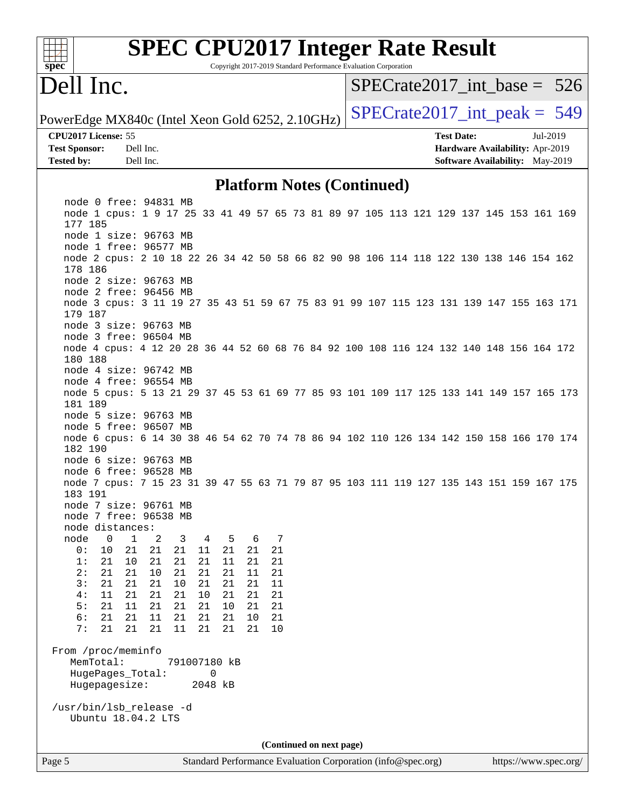| spec                                                                                                                                      |                  | <b>SPEC CPU2017 Integer Rate Result</b> |              |          |          |          |   |          |  |                          |                                   | Copyright 2017-2019 Standard Performance Evaluation Corporation |                                                      |  |          |                                 |
|-------------------------------------------------------------------------------------------------------------------------------------------|------------------|-----------------------------------------|--------------|----------|----------|----------|---|----------|--|--------------------------|-----------------------------------|-----------------------------------------------------------------|------------------------------------------------------|--|----------|---------------------------------|
| Dell Inc.                                                                                                                                 |                  |                                         |              |          |          |          |   |          |  |                          |                                   |                                                                 |                                                      |  |          | $SPECrate2017\_int\_base = 526$ |
| PowerEdge MX840c (Intel Xeon Gold 6252, 2.10GHz)                                                                                          |                  |                                         |              |          |          |          |   |          |  |                          |                                   |                                                                 |                                                      |  |          | $SPECTate2017\_int\_peak = 549$ |
| CPU2017 License: 55<br><b>Test Sponsor:</b>                                                                                               | Dell Inc.        |                                         |              |          |          |          |   |          |  |                          |                                   |                                                                 | <b>Test Date:</b><br>Hardware Availability: Apr-2019 |  | Jul-2019 |                                 |
| <b>Tested by:</b>                                                                                                                         | Dell Inc.        |                                         |              |          |          |          |   |          |  |                          |                                   |                                                                 | Software Availability: May-2019                      |  |          |                                 |
|                                                                                                                                           |                  |                                         |              |          |          |          |   |          |  |                          | <b>Platform Notes (Continued)</b> |                                                                 |                                                      |  |          |                                 |
| node 0 free: 94831 MB<br>node 1 cpus: 1 9 17 25 33 41 49 57 65 73 81 89 97 105 113 121 129 137 145 153 161 169<br>177 185                 |                  |                                         |              |          |          |          |   |          |  |                          |                                   |                                                                 |                                                      |  |          |                                 |
| node 1 size: 96763 MB<br>node 1 free: 96577 MB                                                                                            |                  |                                         |              |          |          |          |   |          |  |                          |                                   |                                                                 |                                                      |  |          |                                 |
| node 2 cpus: 2 10 18 22 26 34 42 50 58 66 82 90 98 106 114 118 122 130 138 146 154 162<br>178 186<br>node 2 size: 96763 MB                |                  |                                         |              |          |          |          |   |          |  |                          |                                   |                                                                 |                                                      |  |          |                                 |
| node 2 free: 96456 MB<br>node 3 cpus: 3 11 19 27 35 43 51 59 67 75 83 91 99 107 115 123 131 139 147 155 163 171                           |                  |                                         |              |          |          |          |   |          |  |                          |                                   |                                                                 |                                                      |  |          |                                 |
| 179 187<br>node 3 size: 96763 MB                                                                                                          |                  |                                         |              |          |          |          |   |          |  |                          |                                   |                                                                 |                                                      |  |          |                                 |
| node 3 free: 96504 MB<br>node 4 cpus: 4 12 20 28 36 44 52 60 68 76 84 92 100 108 116 124 132 140 148 156 164 172<br>180 188               |                  |                                         |              |          |          |          |   |          |  |                          |                                   |                                                                 |                                                      |  |          |                                 |
| node 4 size: 96742 MB<br>node 4 free: 96554 MB                                                                                            |                  |                                         |              |          |          |          |   |          |  |                          |                                   |                                                                 |                                                      |  |          |                                 |
| node 5 cpus: 5 13 21 29 37 45 53 61 69 77 85 93 101 109 117 125 133 141 149 157 165 173<br>181 189                                        |                  |                                         |              |          |          |          |   |          |  |                          |                                   |                                                                 |                                                      |  |          |                                 |
| node 5 size: 96763 MB<br>node 5 free: 96507 MB<br>node 6 cpus: 6 14 30 38 46 54 62 70 74 78 86 94 102 110 126 134 142 150 158 166 170 174 |                  |                                         |              |          |          |          |   |          |  |                          |                                   |                                                                 |                                                      |  |          |                                 |
| 182 190<br>node 6 size: 96763 MB                                                                                                          |                  |                                         |              |          |          |          |   |          |  |                          |                                   |                                                                 |                                                      |  |          |                                 |
| node 6 free: 96528 MB<br>node 7 cpus: 7 15 23 31 39 47 55 63 71 79 87 95 103 111 119 127 135 143 151 159 167 175<br>183 191               |                  |                                         |              |          |          |          |   |          |  |                          |                                   |                                                                 |                                                      |  |          |                                 |
| node 7 size: 96761 MB<br>node 7 free: 96538 MB                                                                                            |                  |                                         |              |          |          |          |   |          |  |                          |                                   |                                                                 |                                                      |  |          |                                 |
| node distances:<br>node                                                                                                                   | 0<br>$\mathbf 1$ | 2                                       | 3            | 4        | 5        |          | 6 | 7        |  |                          |                                   |                                                                 |                                                      |  |          |                                 |
| 10<br>0:                                                                                                                                  | 21               | 21                                      | 21           | 11       | 21       | 21       |   | 21       |  |                          |                                   |                                                                 |                                                      |  |          |                                 |
| 1:<br>21<br>2:<br>21                                                                                                                      | 10<br>21         | 21<br>10                                | 21<br>21     | 21<br>21 | 11<br>21 | 21<br>11 |   | 21<br>21 |  |                          |                                   |                                                                 |                                                      |  |          |                                 |
| 3:<br>21                                                                                                                                  | 21               | 21                                      | 10           | 21       | 21       | 21       |   | 11       |  |                          |                                   |                                                                 |                                                      |  |          |                                 |
| 11<br>4 :<br>21                                                                                                                           | 21               | 21<br>21                                | 21<br>21     | 10       | 21       | 21       |   | 21       |  |                          |                                   |                                                                 |                                                      |  |          |                                 |
| 5:<br>6:<br>21                                                                                                                            | 11<br>21         | 11                                      | 21           | 21<br>21 | 10<br>21 | 21<br>10 |   | 21<br>21 |  |                          |                                   |                                                                 |                                                      |  |          |                                 |
| 7:<br>21                                                                                                                                  | 21               | 21                                      | 11           | 21       | 21       | 21       |   | 10       |  |                          |                                   |                                                                 |                                                      |  |          |                                 |
| From /proc/meminfo<br>MemTotal:                                                                                                           |                  |                                         | 791007180 kB |          |          |          |   |          |  |                          |                                   |                                                                 |                                                      |  |          |                                 |
| HugePages_Total:                                                                                                                          |                  |                                         |              | 0        |          |          |   |          |  |                          |                                   |                                                                 |                                                      |  |          |                                 |
| Hugepagesize:                                                                                                                             |                  |                                         |              | 2048 kB  |          |          |   |          |  |                          |                                   |                                                                 |                                                      |  |          |                                 |
| /usr/bin/lsb_release -d<br>Ubuntu 18.04.2 LTS                                                                                             |                  |                                         |              |          |          |          |   |          |  |                          |                                   |                                                                 |                                                      |  |          |                                 |
|                                                                                                                                           |                  |                                         |              |          |          |          |   |          |  | (Continued on next page) |                                   |                                                                 |                                                      |  |          |                                 |
| Page 5                                                                                                                                    |                  |                                         |              |          |          |          |   |          |  |                          |                                   | Standard Performance Evaluation Corporation (info@spec.org)     |                                                      |  |          | https://www.spec.org/           |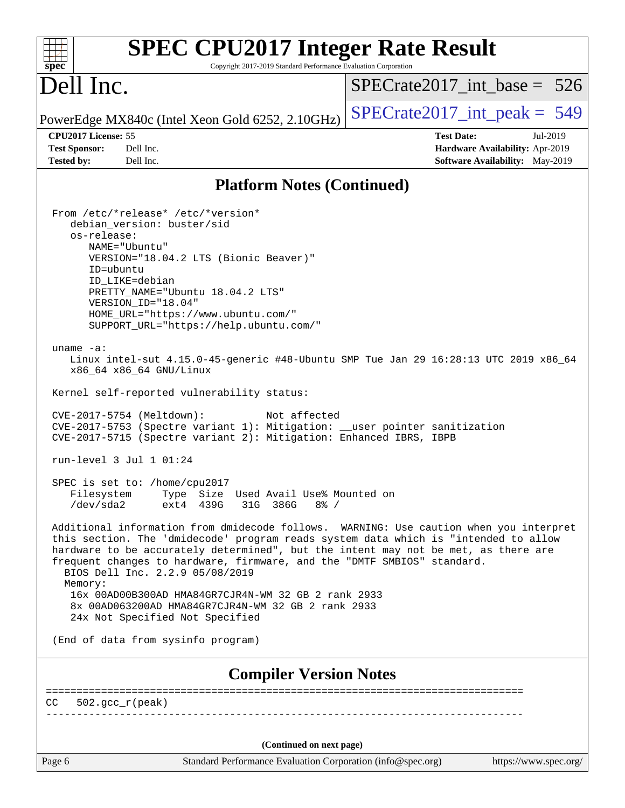| <b>SPEC CPU2017 Integer Rate Result</b>                                                                                                                                                                                                                                                                                                                                                                                                                                                                                                                                                                                                                                                                                                                                                                                                                                                                                                                                                                                                                                                                                                                                                                                                                                                                                                                                                                                                                                                                 |                                 |
|---------------------------------------------------------------------------------------------------------------------------------------------------------------------------------------------------------------------------------------------------------------------------------------------------------------------------------------------------------------------------------------------------------------------------------------------------------------------------------------------------------------------------------------------------------------------------------------------------------------------------------------------------------------------------------------------------------------------------------------------------------------------------------------------------------------------------------------------------------------------------------------------------------------------------------------------------------------------------------------------------------------------------------------------------------------------------------------------------------------------------------------------------------------------------------------------------------------------------------------------------------------------------------------------------------------------------------------------------------------------------------------------------------------------------------------------------------------------------------------------------------|---------------------------------|
| spec<br>Copyright 2017-2019 Standard Performance Evaluation Corporation                                                                                                                                                                                                                                                                                                                                                                                                                                                                                                                                                                                                                                                                                                                                                                                                                                                                                                                                                                                                                                                                                                                                                                                                                                                                                                                                                                                                                                 |                                 |
| Dell Inc.                                                                                                                                                                                                                                                                                                                                                                                                                                                                                                                                                                                                                                                                                                                                                                                                                                                                                                                                                                                                                                                                                                                                                                                                                                                                                                                                                                                                                                                                                               | $SPECrate2017\_int\_base = 526$ |
| PowerEdge MX840c (Intel Xeon Gold 6252, 2.10GHz)                                                                                                                                                                                                                                                                                                                                                                                                                                                                                                                                                                                                                                                                                                                                                                                                                                                                                                                                                                                                                                                                                                                                                                                                                                                                                                                                                                                                                                                        | $SPECrate2017\_int\_peak = 549$ |
| CPU2017 License: 55                                                                                                                                                                                                                                                                                                                                                                                                                                                                                                                                                                                                                                                                                                                                                                                                                                                                                                                                                                                                                                                                                                                                                                                                                                                                                                                                                                                                                                                                                     | <b>Test Date:</b><br>Jul-2019   |
| <b>Test Sponsor:</b><br>Dell Inc.                                                                                                                                                                                                                                                                                                                                                                                                                                                                                                                                                                                                                                                                                                                                                                                                                                                                                                                                                                                                                                                                                                                                                                                                                                                                                                                                                                                                                                                                       | Hardware Availability: Apr-2019 |
| <b>Tested by:</b><br>Dell Inc.                                                                                                                                                                                                                                                                                                                                                                                                                                                                                                                                                                                                                                                                                                                                                                                                                                                                                                                                                                                                                                                                                                                                                                                                                                                                                                                                                                                                                                                                          | Software Availability: May-2019 |
| <b>Platform Notes (Continued)</b>                                                                                                                                                                                                                                                                                                                                                                                                                                                                                                                                                                                                                                                                                                                                                                                                                                                                                                                                                                                                                                                                                                                                                                                                                                                                                                                                                                                                                                                                       |                                 |
| From /etc/*release* /etc/*version*<br>debian_version: buster/sid<br>os-release:<br>NAME="Ubuntu"<br>VERSION="18.04.2 LTS (Bionic Beaver)"<br>ID=ubuntu<br>ID LIKE=debian<br>PRETTY_NAME="Ubuntu 18.04.2 LTS"<br>VERSION_ID="18.04"<br>HOME_URL="https://www.ubuntu.com/"<br>SUPPORT_URL="https://help.ubuntu.com/"<br>uname $-a$ :<br>Linux intel-sut 4.15.0-45-generic #48-Ubuntu SMP Tue Jan 29 16:28:13 UTC 2019 x86_64<br>x86_64 x86_64 GNU/Linux<br>Kernel self-reported vulnerability status:<br>CVE-2017-5754 (Meltdown):<br>Not affected<br>CVE-2017-5753 (Spectre variant 1): Mitigation: __user pointer sanitization<br>CVE-2017-5715 (Spectre variant 2): Mitigation: Enhanced IBRS, IBPB<br>run-level 3 Jul 1 01:24<br>SPEC is set to: /home/cpu2017<br>Type Size Used Avail Use% Mounted on<br>Filesystem<br>/dev/sda2<br>ext4 439G<br>31G 386G<br>$8\frac{6}{6}$ /<br>Additional information from dmidecode follows. WARNING: Use caution when you interpret<br>this section. The 'dmidecode' program reads system data which is "intended to allow<br>hardware to be accurately determined", but the intent may not be met, as there are<br>frequent changes to hardware, firmware, and the "DMTF SMBIOS" standard.<br>BIOS Dell Inc. 2.2.9 05/08/2019<br>Memory:<br>16x 00AD00B300AD HMA84GR7CJR4N-WM 32 GB 2 rank 2933<br>8x 00AD063200AD HMA84GR7CJR4N-WM 32 GB 2 rank 2933<br>24x Not Specified Not Specified<br>(End of data from sysinfo program)<br><b>Compiler Version Notes</b> |                                 |
|                                                                                                                                                                                                                                                                                                                                                                                                                                                                                                                                                                                                                                                                                                                                                                                                                                                                                                                                                                                                                                                                                                                                                                                                                                                                                                                                                                                                                                                                                                         |                                 |
| $502.\text{qcc }r(\text{peak})$<br>CC                                                                                                                                                                                                                                                                                                                                                                                                                                                                                                                                                                                                                                                                                                                                                                                                                                                                                                                                                                                                                                                                                                                                                                                                                                                                                                                                                                                                                                                                   |                                 |
| (Continued on next page)                                                                                                                                                                                                                                                                                                                                                                                                                                                                                                                                                                                                                                                                                                                                                                                                                                                                                                                                                                                                                                                                                                                                                                                                                                                                                                                                                                                                                                                                                |                                 |
| Page 6<br>Standard Performance Evaluation Corporation (info@spec.org)                                                                                                                                                                                                                                                                                                                                                                                                                                                                                                                                                                                                                                                                                                                                                                                                                                                                                                                                                                                                                                                                                                                                                                                                                                                                                                                                                                                                                                   | https://www.spec.org/           |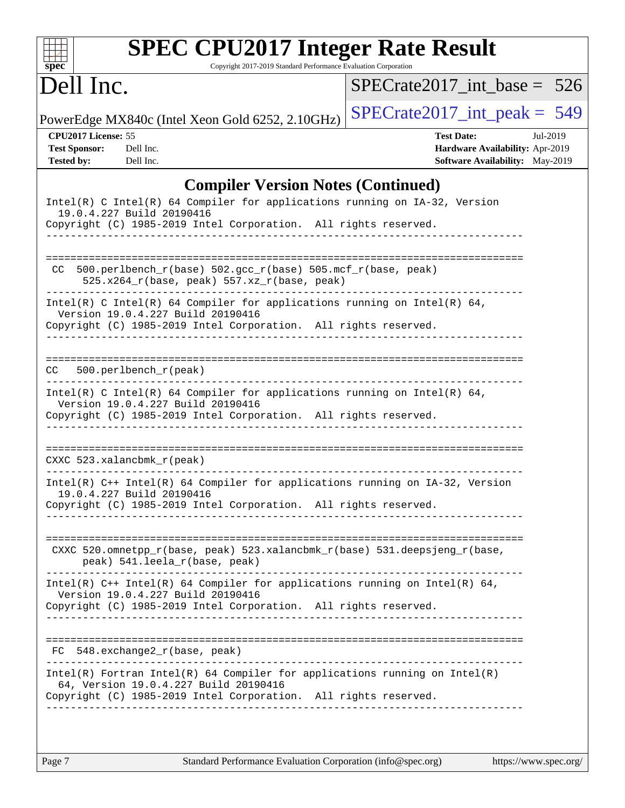| Dell Inc.                                                        |                                                                                                                                                                                                               | $SPECrate2017\_int\_base = 526$                                                         |          |  |
|------------------------------------------------------------------|---------------------------------------------------------------------------------------------------------------------------------------------------------------------------------------------------------------|-----------------------------------------------------------------------------------------|----------|--|
|                                                                  | PowerEdge MX840c (Intel Xeon Gold 6252, 2.10GHz)                                                                                                                                                              | $SPECrate2017\_int\_peak = 549$                                                         |          |  |
| CPU2017 License: 55<br><b>Test Sponsor:</b><br><b>Tested by:</b> | Dell Inc.<br>Dell Inc.                                                                                                                                                                                        | <b>Test Date:</b><br>Hardware Availability: Apr-2019<br>Software Availability: May-2019 | Jul-2019 |  |
|                                                                  | <b>Compiler Version Notes (Continued)</b>                                                                                                                                                                     |                                                                                         |          |  |
|                                                                  | Intel(R) C Intel(R) 64 Compiler for applications running on IA-32, Version<br>19.0.4.227 Build 20190416<br>Copyright (C) 1985-2019 Intel Corporation. All rights reserved.                                    |                                                                                         |          |  |
| CC                                                               | $500. perlbench_r(base) 502. gcc_r(base) 505.mcf_r(base, peak)$<br>525.x264_r(base, peak) 557.xz_r(base, peak)                                                                                                |                                                                                         |          |  |
|                                                                  | Intel(R) C Intel(R) 64 Compiler for applications running on Intel(R) 64,<br>Version 19.0.4.227 Build 20190416<br>Copyright (C) 1985-2019 Intel Corporation. All rights reserved.<br>_________________________ |                                                                                         |          |  |
| CC.                                                              | 500.perlbench_r(peak)                                                                                                                                                                                         |                                                                                         |          |  |
|                                                                  | Intel(R) C Intel(R) 64 Compiler for applications running on Intel(R) 64,<br>Version 19.0.4.227 Build 20190416<br>Copyright (C) 1985-2019 Intel Corporation. All rights reserved.<br>______________________    |                                                                                         |          |  |
|                                                                  | $CXXC$ 523.xalancbmk $r$ (peak)                                                                                                                                                                               |                                                                                         |          |  |
|                                                                  | Intel(R) C++ Intel(R) 64 Compiler for applications running on IA-32, Version<br>19.0.4.227 Build 20190416<br>Copyright (C) 1985-2019 Intel Corporation. All rights reserved.                                  |                                                                                         |          |  |
|                                                                  | CXXC 520.omnetpp_r(base, peak) 523.xalancbmk_r(base) 531.deepsjeng_r(base,<br>peak) 541.leela_r(base, peak)                                                                                                   |                                                                                         |          |  |
|                                                                  | Intel(R) $C++$ Intel(R) 64 Compiler for applications running on Intel(R) 64,<br>Version 19.0.4.227 Build 20190416<br>Copyright (C) 1985-2019 Intel Corporation. All rights reserved.                          |                                                                                         |          |  |
|                                                                  |                                                                                                                                                                                                               |                                                                                         |          |  |
|                                                                  | $FC 548. exchange2_r(base, peak)$                                                                                                                                                                             |                                                                                         |          |  |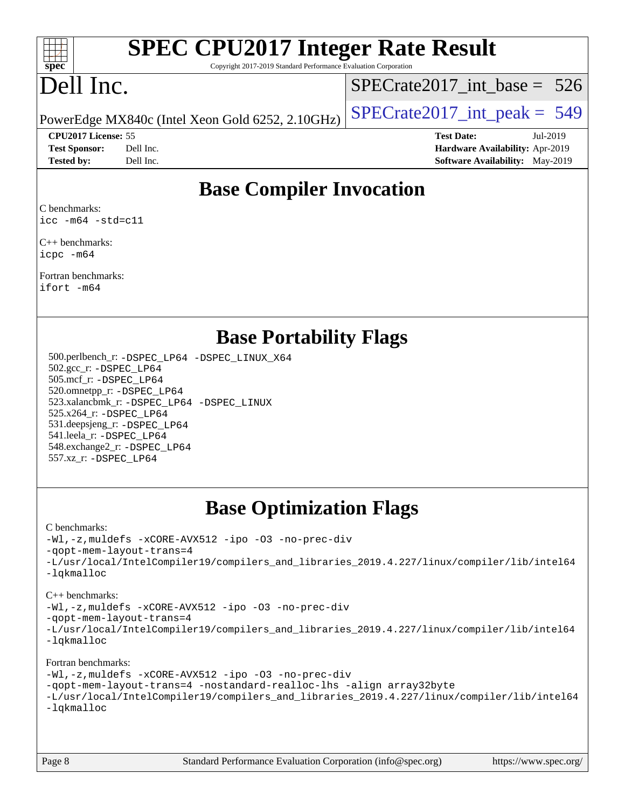

# **[SPEC CPU2017 Integer Rate Result](http://www.spec.org/auto/cpu2017/Docs/result-fields.html#SPECCPU2017IntegerRateResult)**

Copyright 2017-2019 Standard Performance Evaluation Corporation

# Dell Inc.

[SPECrate2017\\_int\\_base =](http://www.spec.org/auto/cpu2017/Docs/result-fields.html#SPECrate2017intbase) 526

PowerEdge MX840c (Intel Xeon Gold 6252, 2.10GHz)  $\left|$  [SPECrate2017\\_int\\_peak =](http://www.spec.org/auto/cpu2017/Docs/result-fields.html#SPECrate2017intpeak) 549

**[CPU2017 License:](http://www.spec.org/auto/cpu2017/Docs/result-fields.html#CPU2017License)** 55 **[Test Date:](http://www.spec.org/auto/cpu2017/Docs/result-fields.html#TestDate)** Jul-2019

**[Test Sponsor:](http://www.spec.org/auto/cpu2017/Docs/result-fields.html#TestSponsor)** Dell Inc. **[Hardware Availability:](http://www.spec.org/auto/cpu2017/Docs/result-fields.html#HardwareAvailability)** Apr-2019 **[Tested by:](http://www.spec.org/auto/cpu2017/Docs/result-fields.html#Testedby)** Dell Inc. **[Software Availability:](http://www.spec.org/auto/cpu2017/Docs/result-fields.html#SoftwareAvailability)** May-2019

## **[Base Compiler Invocation](http://www.spec.org/auto/cpu2017/Docs/result-fields.html#BaseCompilerInvocation)**

[C benchmarks](http://www.spec.org/auto/cpu2017/Docs/result-fields.html#Cbenchmarks): [icc -m64 -std=c11](http://www.spec.org/cpu2017/results/res2019q3/cpu2017-20190805-16483.flags.html#user_CCbase_intel_icc_64bit_c11_33ee0cdaae7deeeab2a9725423ba97205ce30f63b9926c2519791662299b76a0318f32ddfffdc46587804de3178b4f9328c46fa7c2b0cd779d7a61945c91cd35)

[C++ benchmarks:](http://www.spec.org/auto/cpu2017/Docs/result-fields.html#CXXbenchmarks) [icpc -m64](http://www.spec.org/cpu2017/results/res2019q3/cpu2017-20190805-16483.flags.html#user_CXXbase_intel_icpc_64bit_4ecb2543ae3f1412ef961e0650ca070fec7b7afdcd6ed48761b84423119d1bf6bdf5cad15b44d48e7256388bc77273b966e5eb805aefd121eb22e9299b2ec9d9)

[Fortran benchmarks:](http://www.spec.org/auto/cpu2017/Docs/result-fields.html#Fortranbenchmarks) [ifort -m64](http://www.spec.org/cpu2017/results/res2019q3/cpu2017-20190805-16483.flags.html#user_FCbase_intel_ifort_64bit_24f2bb282fbaeffd6157abe4f878425411749daecae9a33200eee2bee2fe76f3b89351d69a8130dd5949958ce389cf37ff59a95e7a40d588e8d3a57e0c3fd751)

### **[Base Portability Flags](http://www.spec.org/auto/cpu2017/Docs/result-fields.html#BasePortabilityFlags)**

 500.perlbench\_r: [-DSPEC\\_LP64](http://www.spec.org/cpu2017/results/res2019q3/cpu2017-20190805-16483.flags.html#b500.perlbench_r_basePORTABILITY_DSPEC_LP64) [-DSPEC\\_LINUX\\_X64](http://www.spec.org/cpu2017/results/res2019q3/cpu2017-20190805-16483.flags.html#b500.perlbench_r_baseCPORTABILITY_DSPEC_LINUX_X64) 502.gcc\_r: [-DSPEC\\_LP64](http://www.spec.org/cpu2017/results/res2019q3/cpu2017-20190805-16483.flags.html#suite_basePORTABILITY502_gcc_r_DSPEC_LP64) 505.mcf\_r: [-DSPEC\\_LP64](http://www.spec.org/cpu2017/results/res2019q3/cpu2017-20190805-16483.flags.html#suite_basePORTABILITY505_mcf_r_DSPEC_LP64) 520.omnetpp\_r: [-DSPEC\\_LP64](http://www.spec.org/cpu2017/results/res2019q3/cpu2017-20190805-16483.flags.html#suite_basePORTABILITY520_omnetpp_r_DSPEC_LP64) 523.xalancbmk\_r: [-DSPEC\\_LP64](http://www.spec.org/cpu2017/results/res2019q3/cpu2017-20190805-16483.flags.html#suite_basePORTABILITY523_xalancbmk_r_DSPEC_LP64) [-DSPEC\\_LINUX](http://www.spec.org/cpu2017/results/res2019q3/cpu2017-20190805-16483.flags.html#b523.xalancbmk_r_baseCXXPORTABILITY_DSPEC_LINUX) 525.x264\_r: [-DSPEC\\_LP64](http://www.spec.org/cpu2017/results/res2019q3/cpu2017-20190805-16483.flags.html#suite_basePORTABILITY525_x264_r_DSPEC_LP64) 531.deepsjeng\_r: [-DSPEC\\_LP64](http://www.spec.org/cpu2017/results/res2019q3/cpu2017-20190805-16483.flags.html#suite_basePORTABILITY531_deepsjeng_r_DSPEC_LP64) 541.leela\_r: [-DSPEC\\_LP64](http://www.spec.org/cpu2017/results/res2019q3/cpu2017-20190805-16483.flags.html#suite_basePORTABILITY541_leela_r_DSPEC_LP64) 548.exchange2\_r: [-DSPEC\\_LP64](http://www.spec.org/cpu2017/results/res2019q3/cpu2017-20190805-16483.flags.html#suite_basePORTABILITY548_exchange2_r_DSPEC_LP64) 557.xz\_r: [-DSPEC\\_LP64](http://www.spec.org/cpu2017/results/res2019q3/cpu2017-20190805-16483.flags.html#suite_basePORTABILITY557_xz_r_DSPEC_LP64)

# **[Base Optimization Flags](http://www.spec.org/auto/cpu2017/Docs/result-fields.html#BaseOptimizationFlags)**

### [C benchmarks](http://www.spec.org/auto/cpu2017/Docs/result-fields.html#Cbenchmarks):

[-Wl,-z,muldefs](http://www.spec.org/cpu2017/results/res2019q3/cpu2017-20190805-16483.flags.html#user_CCbase_link_force_multiple1_b4cbdb97b34bdee9ceefcfe54f4c8ea74255f0b02a4b23e853cdb0e18eb4525ac79b5a88067c842dd0ee6996c24547a27a4b99331201badda8798ef8a743f577) [-xCORE-AVX512](http://www.spec.org/cpu2017/results/res2019q3/cpu2017-20190805-16483.flags.html#user_CCbase_f-xCORE-AVX512) [-ipo](http://www.spec.org/cpu2017/results/res2019q3/cpu2017-20190805-16483.flags.html#user_CCbase_f-ipo) [-O3](http://www.spec.org/cpu2017/results/res2019q3/cpu2017-20190805-16483.flags.html#user_CCbase_f-O3) [-no-prec-div](http://www.spec.org/cpu2017/results/res2019q3/cpu2017-20190805-16483.flags.html#user_CCbase_f-no-prec-div) [-qopt-mem-layout-trans=4](http://www.spec.org/cpu2017/results/res2019q3/cpu2017-20190805-16483.flags.html#user_CCbase_f-qopt-mem-layout-trans_fa39e755916c150a61361b7846f310bcdf6f04e385ef281cadf3647acec3f0ae266d1a1d22d972a7087a248fd4e6ca390a3634700869573d231a252c784941a8) [-L/usr/local/IntelCompiler19/compilers\\_and\\_libraries\\_2019.4.227/linux/compiler/lib/intel64](http://www.spec.org/cpu2017/results/res2019q3/cpu2017-20190805-16483.flags.html#user_CCbase_qkmalloc_link_0ffe0cb02c68ef1b443a077c7888c10c67ca0d1dd7138472156f06a085bbad385f78d49618ad55dca9db3b1608e84afc2f69b4003b1d1ca498a9fc1462ccefda) [-lqkmalloc](http://www.spec.org/cpu2017/results/res2019q3/cpu2017-20190805-16483.flags.html#user_CCbase_qkmalloc_link_lib_79a818439969f771c6bc311cfd333c00fc099dad35c030f5aab9dda831713d2015205805422f83de8875488a2991c0a156aaa600e1f9138f8fc37004abc96dc5)

### [C++ benchmarks](http://www.spec.org/auto/cpu2017/Docs/result-fields.html#CXXbenchmarks):

[-Wl,-z,muldefs](http://www.spec.org/cpu2017/results/res2019q3/cpu2017-20190805-16483.flags.html#user_CXXbase_link_force_multiple1_b4cbdb97b34bdee9ceefcfe54f4c8ea74255f0b02a4b23e853cdb0e18eb4525ac79b5a88067c842dd0ee6996c24547a27a4b99331201badda8798ef8a743f577) [-xCORE-AVX512](http://www.spec.org/cpu2017/results/res2019q3/cpu2017-20190805-16483.flags.html#user_CXXbase_f-xCORE-AVX512) [-ipo](http://www.spec.org/cpu2017/results/res2019q3/cpu2017-20190805-16483.flags.html#user_CXXbase_f-ipo) [-O3](http://www.spec.org/cpu2017/results/res2019q3/cpu2017-20190805-16483.flags.html#user_CXXbase_f-O3) [-no-prec-div](http://www.spec.org/cpu2017/results/res2019q3/cpu2017-20190805-16483.flags.html#user_CXXbase_f-no-prec-div)

[-qopt-mem-layout-trans=4](http://www.spec.org/cpu2017/results/res2019q3/cpu2017-20190805-16483.flags.html#user_CXXbase_f-qopt-mem-layout-trans_fa39e755916c150a61361b7846f310bcdf6f04e385ef281cadf3647acec3f0ae266d1a1d22d972a7087a248fd4e6ca390a3634700869573d231a252c784941a8)

[-L/usr/local/IntelCompiler19/compilers\\_and\\_libraries\\_2019.4.227/linux/compiler/lib/intel64](http://www.spec.org/cpu2017/results/res2019q3/cpu2017-20190805-16483.flags.html#user_CXXbase_qkmalloc_link_0ffe0cb02c68ef1b443a077c7888c10c67ca0d1dd7138472156f06a085bbad385f78d49618ad55dca9db3b1608e84afc2f69b4003b1d1ca498a9fc1462ccefda) [-lqkmalloc](http://www.spec.org/cpu2017/results/res2019q3/cpu2017-20190805-16483.flags.html#user_CXXbase_qkmalloc_link_lib_79a818439969f771c6bc311cfd333c00fc099dad35c030f5aab9dda831713d2015205805422f83de8875488a2991c0a156aaa600e1f9138f8fc37004abc96dc5)

### [Fortran benchmarks](http://www.spec.org/auto/cpu2017/Docs/result-fields.html#Fortranbenchmarks):

[-Wl,-z,muldefs](http://www.spec.org/cpu2017/results/res2019q3/cpu2017-20190805-16483.flags.html#user_FCbase_link_force_multiple1_b4cbdb97b34bdee9ceefcfe54f4c8ea74255f0b02a4b23e853cdb0e18eb4525ac79b5a88067c842dd0ee6996c24547a27a4b99331201badda8798ef8a743f577) [-xCORE-AVX512](http://www.spec.org/cpu2017/results/res2019q3/cpu2017-20190805-16483.flags.html#user_FCbase_f-xCORE-AVX512) [-ipo](http://www.spec.org/cpu2017/results/res2019q3/cpu2017-20190805-16483.flags.html#user_FCbase_f-ipo) [-O3](http://www.spec.org/cpu2017/results/res2019q3/cpu2017-20190805-16483.flags.html#user_FCbase_f-O3) [-no-prec-div](http://www.spec.org/cpu2017/results/res2019q3/cpu2017-20190805-16483.flags.html#user_FCbase_f-no-prec-div) [-qopt-mem-layout-trans=4](http://www.spec.org/cpu2017/results/res2019q3/cpu2017-20190805-16483.flags.html#user_FCbase_f-qopt-mem-layout-trans_fa39e755916c150a61361b7846f310bcdf6f04e385ef281cadf3647acec3f0ae266d1a1d22d972a7087a248fd4e6ca390a3634700869573d231a252c784941a8) [-nostandard-realloc-lhs](http://www.spec.org/cpu2017/results/res2019q3/cpu2017-20190805-16483.flags.html#user_FCbase_f_2003_std_realloc_82b4557e90729c0f113870c07e44d33d6f5a304b4f63d4c15d2d0f1fab99f5daaed73bdb9275d9ae411527f28b936061aa8b9c8f2d63842963b95c9dd6426b8a) [-align array32byte](http://www.spec.org/cpu2017/results/res2019q3/cpu2017-20190805-16483.flags.html#user_FCbase_align_array32byte_b982fe038af199962ba9a80c053b8342c548c85b40b8e86eb3cc33dee0d7986a4af373ac2d51c3f7cf710a18d62fdce2948f201cd044323541f22fc0fffc51b6) [-L/usr/local/IntelCompiler19/compilers\\_and\\_libraries\\_2019.4.227/linux/compiler/lib/intel64](http://www.spec.org/cpu2017/results/res2019q3/cpu2017-20190805-16483.flags.html#user_FCbase_qkmalloc_link_0ffe0cb02c68ef1b443a077c7888c10c67ca0d1dd7138472156f06a085bbad385f78d49618ad55dca9db3b1608e84afc2f69b4003b1d1ca498a9fc1462ccefda) [-lqkmalloc](http://www.spec.org/cpu2017/results/res2019q3/cpu2017-20190805-16483.flags.html#user_FCbase_qkmalloc_link_lib_79a818439969f771c6bc311cfd333c00fc099dad35c030f5aab9dda831713d2015205805422f83de8875488a2991c0a156aaa600e1f9138f8fc37004abc96dc5)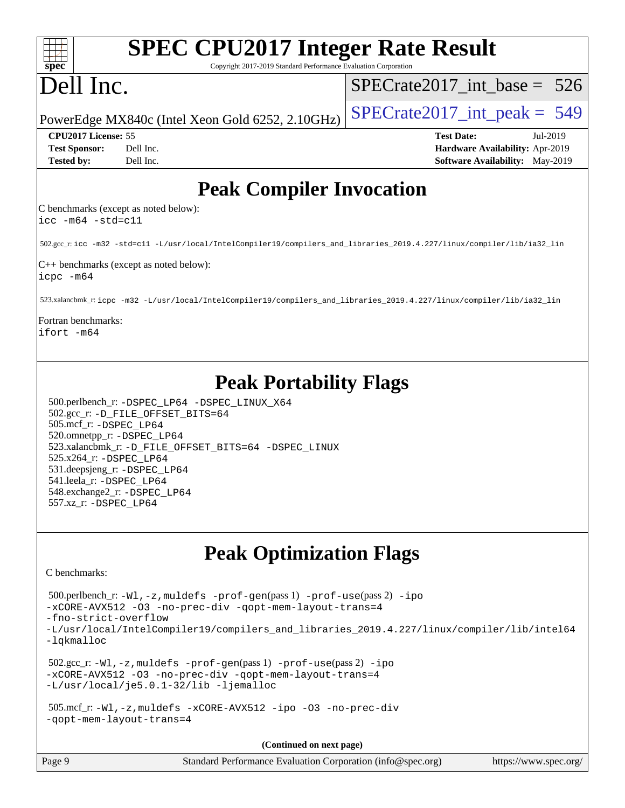| <b>SPEC CPU2017 Integer Rate Result</b><br>Spec<br>Copyright 2017-2019 Standard Performance Evaluation Corporation                                                                                                                                                                                                                                                                  |                                        |
|-------------------------------------------------------------------------------------------------------------------------------------------------------------------------------------------------------------------------------------------------------------------------------------------------------------------------------------------------------------------------------------|----------------------------------------|
| Dell Inc.                                                                                                                                                                                                                                                                                                                                                                           | $SPECrate2017\_int\_base = 526$        |
| PowerEdge MX840c (Intel Xeon Gold 6252, 2.10GHz)                                                                                                                                                                                                                                                                                                                                    | $SPECrate2017\_int\_peak = 549$        |
| CPU2017 License: 55                                                                                                                                                                                                                                                                                                                                                                 | <b>Test Date:</b><br>Jul-2019          |
| <b>Test Sponsor:</b><br>Dell Inc.                                                                                                                                                                                                                                                                                                                                                   | Hardware Availability: Apr-2019        |
| Dell Inc.<br><b>Tested by:</b>                                                                                                                                                                                                                                                                                                                                                      | <b>Software Availability:</b> May-2019 |
| <b>Peak Compiler Invocation</b><br>C benchmarks (except as noted below):                                                                                                                                                                                                                                                                                                            |                                        |
| $\text{icc -m64 -std=c11}$                                                                                                                                                                                                                                                                                                                                                          |                                        |
| 502.gcc_r: icc -m32 -std=c11 -L/usr/local/IntelCompiler19/compilers_and_libraries_2019.4.227/linux/compiler/lib/ia32_lin                                                                                                                                                                                                                                                            |                                        |
| C++ benchmarks (except as noted below):<br>icpc -m64                                                                                                                                                                                                                                                                                                                                |                                        |
| 523.xalancbmk_r:icpc -m32 -L/usr/local/IntelCompiler19/compilers_and_libraries_2019.4.227/linux/compiler/lib/ia32_lin                                                                                                                                                                                                                                                               |                                        |
| Fortran benchmarks:<br>ifort -m64                                                                                                                                                                                                                                                                                                                                                   |                                        |
| <b>Peak Portability Flags</b><br>500.perlbench_r: -DSPEC_LP64 -DSPEC_LINUX_X64<br>502.gcc_r: -D_FILE_OFFSET_BITS=64<br>505.mcf_r: -DSPEC_LP64<br>520.omnetpp_r: -DSPEC_LP64<br>523.xalancbmk_r: -D_FILE_OFFSET_BITS=64 -DSPEC_LINUX<br>525.x264_r: -DSPEC_LP64<br>531.deepsjeng_r: -DSPEC LP64<br>541.leela_r: -DSPEC LP64<br>548.exchange2_r: -DSPEC_LP64<br>557.xz_r: -DSPEC LP64 |                                        |
| <b>Peak Optimization Flags</b>                                                                                                                                                                                                                                                                                                                                                      |                                        |
| C benchmarks:                                                                                                                                                                                                                                                                                                                                                                       |                                        |
| 500.perlbench_r: -Wl, -z, muldefs -prof-gen(pass 1) -prof-use(pass 2) -ipo<br>-xCORE-AVX512 -03 -no-prec-div -qopt-mem-layout-trans=4<br>-fno-strict-overflow<br>-L/usr/local/IntelCompiler19/compilers_and_libraries_2019.4.227/linux/compiler/lib/intel64<br>-lqkmalloc                                                                                                           |                                        |
| $502.\text{sec\_r: } -W1$ , $-z$ , muldefs $-prof-gen(pass 1)$ $-prof-use(pass 2)$ $-ipo$<br>-xCORE-AVX512 -03 -no-prec-div -qopt-mem-layout-trans=4<br>-L/usr/local/je5.0.1-32/lib -ljemalloc                                                                                                                                                                                      |                                        |
| 505.mcf_r:-Wl,-z,muldefs -xCORE-AVX512 -ipo -03 -no-prec-div<br>-gopt-mem-layout-trans=4                                                                                                                                                                                                                                                                                            |                                        |
| (Continued on next page)                                                                                                                                                                                                                                                                                                                                                            |                                        |
| Page 9<br>Standard Performance Evaluation Corporation (info@spec.org)                                                                                                                                                                                                                                                                                                               | https://www.spec.org/                  |
|                                                                                                                                                                                                                                                                                                                                                                                     |                                        |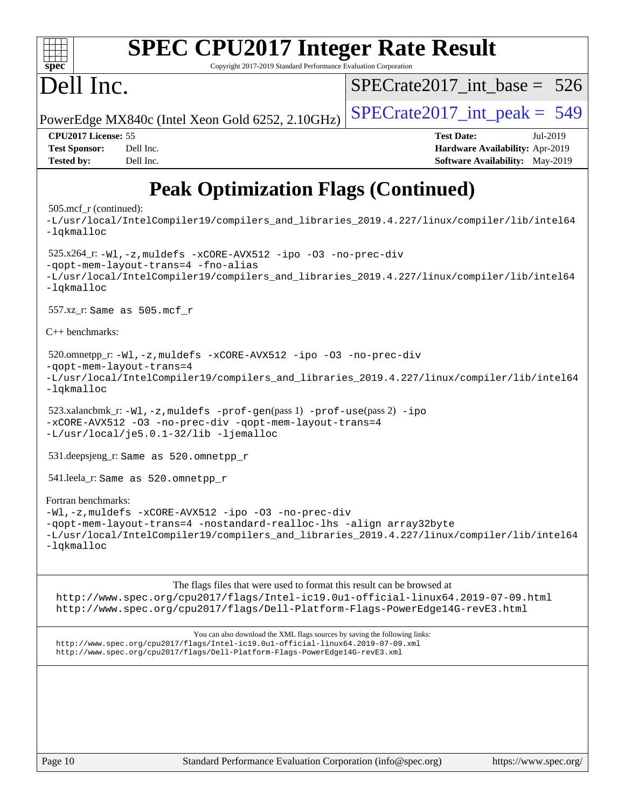| <b>SPEC CPU2017 Integer Rate Result</b><br>spec <sup>®</sup><br>Copyright 2017-2019 Standard Performance Evaluation Corporation                                                                                                                                                                                                                                                                                                                                                                                                                              |                                                                                                            |  |  |  |  |  |
|--------------------------------------------------------------------------------------------------------------------------------------------------------------------------------------------------------------------------------------------------------------------------------------------------------------------------------------------------------------------------------------------------------------------------------------------------------------------------------------------------------------------------------------------------------------|------------------------------------------------------------------------------------------------------------|--|--|--|--|--|
| Dell Inc.                                                                                                                                                                                                                                                                                                                                                                                                                                                                                                                                                    | $SPECrate2017\_int\_base = 526$                                                                            |  |  |  |  |  |
| PowerEdge MX840c (Intel Xeon Gold 6252, 2.10GHz)                                                                                                                                                                                                                                                                                                                                                                                                                                                                                                             | $SPECrate2017\_int\_peak = 549$                                                                            |  |  |  |  |  |
| CPU2017 License: 55<br><b>Test Sponsor:</b><br>Dell Inc.<br><b>Tested by:</b><br>Dell Inc.                                                                                                                                                                                                                                                                                                                                                                                                                                                                   | <b>Test Date:</b><br>Jul-2019<br>Hardware Availability: Apr-2019<br><b>Software Availability:</b> May-2019 |  |  |  |  |  |
| <b>Peak Optimization Flags (Continued)</b><br>$505 \text{.mcf}_r$ (continued):<br>-L/usr/local/IntelCompiler19/compilers_and_libraries_2019.4.227/linux/compiler/lib/intel64<br>$-lq$ kmalloc<br>$525.x264_r: -W1, -z$ , muldefs $-xCORE-AVX512$ -ipo -03 -no-prec-div<br>-qopt-mem-layout-trans=4 -fno-alias<br>-L/usr/local/IntelCompiler19/compilers_and_libraries_2019.4.227/linux/compiler/lib/intel64<br>-lqkmalloc<br>$557.xz$ _r: Same as $505.mcf_r$<br>$C_{++}$ benchmarks:<br>520.omnetpp_r: -Wl, -z, muldefs -xCORE-AVX512 -ipo -O3 -no-prec-div |                                                                                                            |  |  |  |  |  |
| -gopt-mem-layout-trans=4<br>-L/usr/local/IntelCompiler19/compilers_and_libraries_2019.4.227/linux/compiler/lib/intel64<br>-lqkmalloc<br>$523.xalanchm k_r: -Wl, -z, multdefs -prof-gen(pass 1) -prof-use(pass 2) -ipo$<br>-xCORE-AVX512 -03 -no-prec-div -qopt-mem-layout-trans=4<br>-L/usr/local/je5.0.1-32/lib -ljemalloc<br>531.deepsjeng_r: Same as 520.omnetpp_r                                                                                                                                                                                        |                                                                                                            |  |  |  |  |  |
| 541.leela_r: Same as 520.omnetpp_r<br>Fortran benchmarks:<br>-Wl,-z, muldefs -xCORE-AVX512 -ipo -03 -no-prec-div<br>-qopt-mem-layout-trans=4 -nostandard-realloc-lhs -align array32byte<br>-L/usr/local/IntelCompiler19/compilers_and_libraries_2019.4.227/linux/compiler/lib/intel64<br>$-lq$ kmalloc                                                                                                                                                                                                                                                       |                                                                                                            |  |  |  |  |  |
| The flags files that were used to format this result can be browsed at<br>http://www.spec.org/cpu2017/flags/Intel-ic19.0ul-official-linux64.2019-07-09.html<br>http://www.spec.org/cpu2017/flags/Dell-Platform-Flags-PowerEdge14G-revE3.html                                                                                                                                                                                                                                                                                                                 |                                                                                                            |  |  |  |  |  |

You can also download the XML flags sources by saving the following links: <http://www.spec.org/cpu2017/flags/Intel-ic19.0u1-official-linux64.2019-07-09.xml> <http://www.spec.org/cpu2017/flags/Dell-Platform-Flags-PowerEdge14G-revE3.xml>